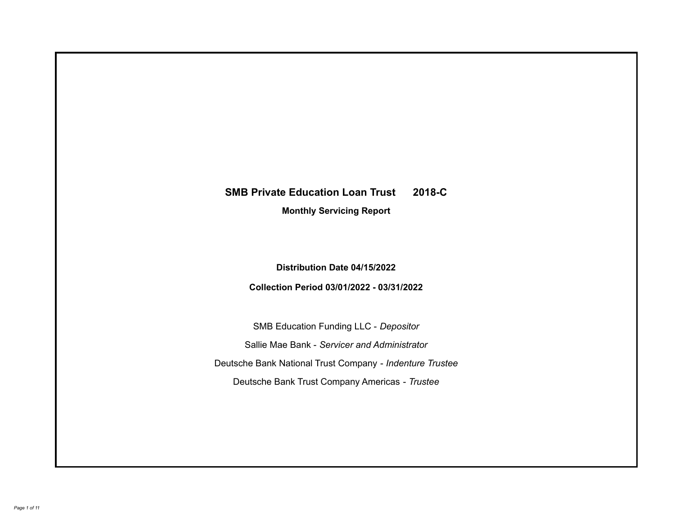# **SMB Private Education Loan Trust 2018-C**

**Monthly Servicing Report**

**Distribution Date 04/15/2022**

**Collection Period 03/01/2022 - 03/31/2022**

SMB Education Funding LLC - *Depositor* Sallie Mae Bank - *Servicer and Administrator* Deutsche Bank National Trust Company - *Indenture Trustee* Deutsche Bank Trust Company Americas - *Trustee*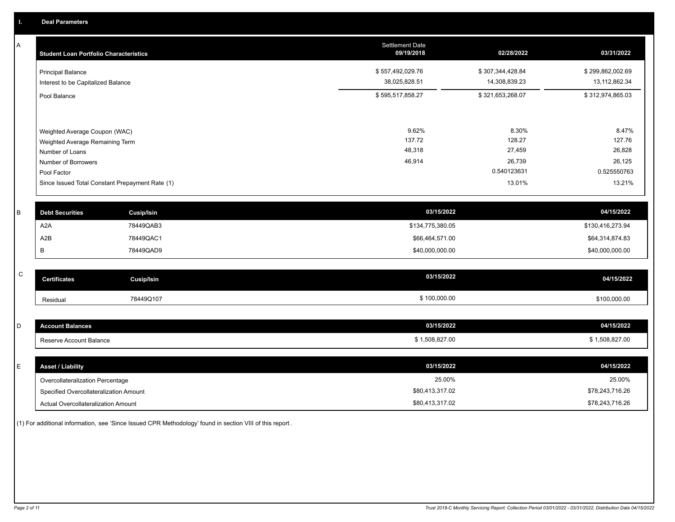A

| A | <b>Student Loan Portfolio Characteristics</b>   |                   | <b>Settlement Date</b><br>09/19/2018 | 02/28/2022       | 03/31/2022       |
|---|-------------------------------------------------|-------------------|--------------------------------------|------------------|------------------|
|   | <b>Principal Balance</b>                        |                   | \$557,492,029.76                     | \$307,344,428.84 | \$299,862,002.69 |
|   | Interest to be Capitalized Balance              |                   | 38,025,828.51                        | 14,308,839.23    | 13,112,862.34    |
|   | Pool Balance                                    |                   | \$595,517,858.27                     | \$321,653,268.07 | \$312,974,865.03 |
|   | Weighted Average Coupon (WAC)                   |                   | 9.62%                                | 8.30%            | 8.47%            |
|   | Weighted Average Remaining Term                 |                   | 137.72                               | 128.27           | 127.76           |
|   | Number of Loans                                 |                   | 48,318                               | 27,459           | 26,828           |
|   | Number of Borrowers                             |                   | 46,914                               | 26,739           | 26,125           |
|   | Pool Factor                                     |                   |                                      | 0.540123631      | 0.525550763      |
|   | Since Issued Total Constant Prepayment Rate (1) |                   |                                      | 13.01%           | 13.21%           |
| B | <b>Debt Securities</b>                          | <b>Cusip/Isin</b> | 03/15/2022                           |                  | 04/15/2022       |
|   | A <sub>2</sub> A                                | 78449QAB3         | \$134,775,380.05                     |                  | \$130,416,273.94 |
|   | A2B                                             | 78449QAC1         | \$66,464,571.00                      |                  | \$64,314,874.83  |
|   | В                                               | 78449QAD9         | \$40,000,000.00                      |                  | \$40,000,000.00  |
|   |                                                 |                   |                                      |                  |                  |
| C | <b>Certificates</b>                             | <b>Cusip/Isin</b> | 03/15/2022                           |                  | 04/15/2022       |
|   | Residual                                        | 78449Q107         | \$100,000.00                         |                  | \$100,000.00     |
|   |                                                 |                   |                                      |                  |                  |
| D | <b>Account Balances</b>                         |                   | 03/15/2022                           |                  | 04/15/2022       |
|   | Reserve Account Balance                         |                   | \$1,508,827.00                       |                  | \$1,508,827.00   |
|   |                                                 |                   |                                      |                  |                  |
| Е | <b>Asset / Liability</b>                        |                   | 03/15/2022                           |                  | 04/15/2022       |

Overcollateralization Percentage Specified Overcollateralization Amount

Actual Overcollateralization Amount \$80,413,317.02

(1) For additional information, see 'Since Issued CPR Methodology' found in section VIII of this report .

25.00% 25.00%

\$78,243,716.26 \$78,243,716.26

\$80,413,317.02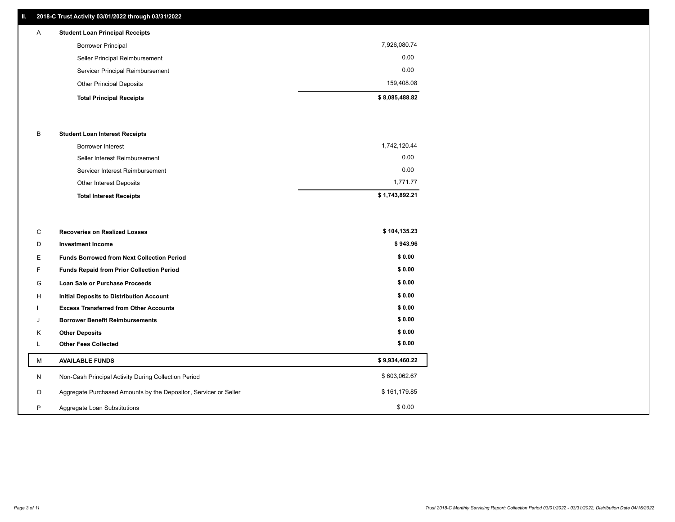# **II. 2018-C Trust Activity 03/01/2022 through 03/31/2022**

| $\mathsf{A}$ | <b>Student Loan Principal Receipts</b> |                |
|--------------|----------------------------------------|----------------|
|              | <b>Borrower Principal</b>              | 7,926,080.74   |
|              | Seller Principal Reimbursement         | 0.00           |
|              | Servicer Principal Reimbursement       | 0.00           |
|              | <b>Other Principal Deposits</b>        | 159,408.08     |
|              | <b>Total Principal Receipts</b>        | \$8,085,488.82 |

### B **Student Loan Interest Receipts**

| <b>Total Interest Receipts</b>  | \$1,743,892.21 |
|---------------------------------|----------------|
| <b>Other Interest Deposits</b>  | 1,771.77       |
| Servicer Interest Reimbursement | 0.00           |
| Seller Interest Reimbursement   | 0.00           |
| Borrower Interest               | 1,742,120.44   |

| C       | <b>Recoveries on Realized Losses</b>                             | \$104,135.23   |
|---------|------------------------------------------------------------------|----------------|
| D       | <b>Investment Income</b>                                         | \$943.96       |
| Е.      | <b>Funds Borrowed from Next Collection Period</b>                | \$0.00         |
| F.      | <b>Funds Repaid from Prior Collection Period</b>                 | \$0.00         |
| G       | Loan Sale or Purchase Proceeds                                   | \$0.00         |
| H       | <b>Initial Deposits to Distribution Account</b>                  | \$0.00         |
|         | <b>Excess Transferred from Other Accounts</b>                    | \$0.00         |
| J       | <b>Borrower Benefit Reimbursements</b>                           | \$0.00         |
| K       | <b>Other Deposits</b>                                            | \$0.00         |
|         | <b>Other Fees Collected</b>                                      | \$0.00         |
| М       | <b>AVAILABLE FUNDS</b>                                           | \$9,934,460.22 |
| N       | Non-Cash Principal Activity During Collection Period             | \$603,062.67   |
| $\circ$ | Aggregate Purchased Amounts by the Depositor, Servicer or Seller | \$161,179.85   |
| P       | Aggregate Loan Substitutions                                     | \$0.00         |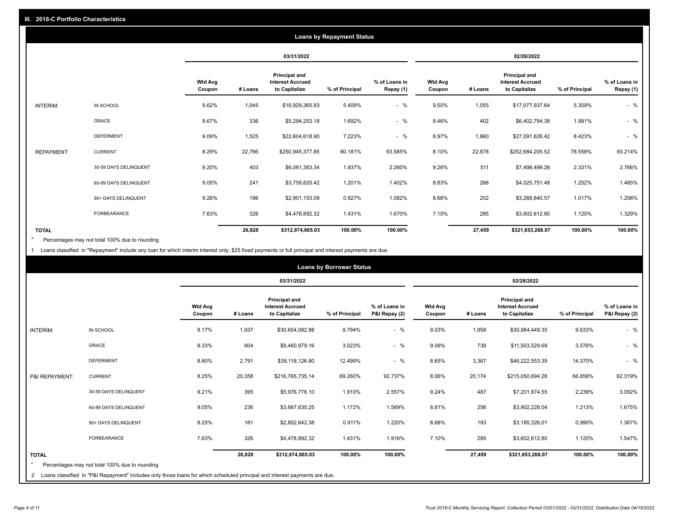|                   | <b>Loans by Repayment Status</b> |                          |         |                                                           |                |                            |                          |         |                                                           |                |                            |
|-------------------|----------------------------------|--------------------------|---------|-----------------------------------------------------------|----------------|----------------------------|--------------------------|---------|-----------------------------------------------------------|----------------|----------------------------|
|                   |                                  |                          |         | 03/31/2022                                                |                |                            |                          |         | 02/28/2022                                                |                |                            |
|                   |                                  | <b>Wtd Avg</b><br>Coupon | # Loans | Principal and<br><b>Interest Accrued</b><br>to Capitalize | % of Principal | % of Loans in<br>Repay (1) | <b>Wtd Avg</b><br>Coupon | # Loans | Principal and<br><b>Interest Accrued</b><br>to Capitalize | % of Principal | % of Loans in<br>Repay (1) |
| INTERIM:          | IN SCHOOL                        | 9.62%                    | 1,045   | \$16,929,365.93                                           | 5.409%         | $-$ %                      | 9.50%                    | 1,055   | \$17,077,937.64                                           | 5.309%         | $-$ %                      |
|                   | GRACE                            | 9.67%                    | 336     | \$5,294,253.18                                            | 1.692%         | $-$ %                      | 9.46%                    | 402     | \$6,402,794.38                                            | 1.991%         | $-$ %                      |
|                   | <b>DEFERMENT</b>                 | 9.09%                    | 1,525   | \$22,604,618.90                                           | 7.223%         | $-$ %                      | 8.97%                    | 1,860   | \$27,091,626.42                                           | 8.423%         | $-$ %                      |
| <b>REPAYMENT:</b> | <b>CURRENT</b>                   | 8.29%                    | 22,766  | \$250,945,377.85                                          | 80.181%        | 93.585%                    | 8.10%                    | 22,878  | \$252,684,205.52                                          | 78.558%        | 93.214%                    |
|                   | 30-59 DAYS DELINQUENT            | 9.20%                    | 403     | \$6,061,383.34                                            | 1.937%         | 2.260%                     | 9.26%                    | 511     | \$7,498,499.26                                            | 2.331%         | 2.766%                     |
|                   | 60-89 DAYS DELINQUENT            | 9.05%                    | 241     | \$3,759,820.42                                            | 1.201%         | 1.402%                     | 8.83%                    | 266     | \$4,025,751.48                                            | 1.252%         | 1.485%                     |
|                   | 90+ DAYS DELINQUENT              | 9.26%                    | 186     | \$2,901,153.09                                            | 0.927%         | 1.082%                     | 8.66%                    | 202     | \$3,269,840.57                                            | 1.017%         | 1.206%                     |
|                   | FORBEARANCE                      | 7.63%                    | 326     | \$4,478,892.32                                            | 1.431%         | 1.670%                     | 7.10%                    | 285     | \$3,602,612.80                                            | 1.120%         | 1.329%                     |
| <b>TOTAL</b>      |                                  |                          | 26,828  | \$312,974,865.03                                          | 100.00%        | 100.00%                    |                          | 27,459  | \$321,653,268.07                                          | 100.00%        | 100.00%                    |

Percentages may not total 100% due to rounding \*

1 Loans classified in "Repayment" include any loan for which interim interest only, \$25 fixed payments or full principal and interest payments are due.

|                 |                                                                                                                              | <b>Loans by Borrower Status</b> |         |                                                                  |                |                                |                          |         |                                                                  |                |                                |
|-----------------|------------------------------------------------------------------------------------------------------------------------------|---------------------------------|---------|------------------------------------------------------------------|----------------|--------------------------------|--------------------------|---------|------------------------------------------------------------------|----------------|--------------------------------|
|                 |                                                                                                                              |                                 |         | 03/31/2022                                                       |                |                                | 02/28/2022               |         |                                                                  |                |                                |
|                 |                                                                                                                              | <b>Wtd Avg</b><br>Coupon        | # Loans | <b>Principal and</b><br><b>Interest Accrued</b><br>to Capitalize | % of Principal | % of Loans in<br>P&I Repay (2) | <b>Wtd Avg</b><br>Coupon | # Loans | <b>Principal and</b><br><b>Interest Accrued</b><br>to Capitalize | % of Principal | % of Loans in<br>P&I Repay (2) |
| <b>INTERIM:</b> | IN SCHOOL                                                                                                                    | 9.17%                           | 1,937   | \$30,654,082.88                                                  | 9.794%         | $-$ %                          | 9.03%                    | 1,958   | \$30,984,449.35                                                  | 9.633%         | $-$ %                          |
|                 | <b>GRACE</b>                                                                                                                 | 9.33%                           | 604     | \$9,460,979.16                                                   | 3.023%         | $-$ %                          | 9.09%                    | 739     | \$11,503,529.69                                                  | 3.576%         | $-$ %                          |
|                 | <b>DEFERMENT</b>                                                                                                             | 8.80%                           | 2,791   | \$39,118,126.80                                                  | 12.499%        | $-$ %                          | 8.65%                    | 3,367   | \$46,222,553.35                                                  | 14.370%        | $-$ %                          |
| P&I REPAYMENT:  | <b>CURRENT</b>                                                                                                               | 8.25%                           | 20,358  | \$216,765,735.14                                                 | 69.260%        | 92.737%                        | 8.06%                    | 20,174  | \$215,050,694.28                                                 | 66.858%        | 92.319%                        |
|                 | 30-59 DAYS DELINQUENT                                                                                                        | 9.21%                           | 395     | \$5,976,776.10                                                   | 1.910%         | 2.557%                         | 9.24%                    | 487     | \$7,201,874.55                                                   | 2.239%         | 3.092%                         |
|                 | 60-89 DAYS DELINQUENT                                                                                                        | 9.05%                           | 236     | \$3,667,630.25                                                   | 1.172%         | 1.569%                         | 8.81%                    | 256     | \$3,902,228.04                                                   | 1.213%         | 1.675%                         |
|                 | 90+ DAYS DELINQUENT                                                                                                          | 9.25%                           | 181     | \$2,852,642.38                                                   | 0.911%         | 1.220%                         | 8.68%                    | 193     | \$3,185,326.01                                                   | 0.990%         | 1.367%                         |
|                 | FORBEARANCE                                                                                                                  | 7.63%                           | 326     | \$4,478,892.32                                                   | 1.431%         | 1.916%                         | 7.10%                    | 285     | \$3,602,612.80                                                   | 1.120%         | 1.547%                         |
| <b>TOTAL</b>    | Percentages may not total 100% due to rounding                                                                               |                                 | 26,828  | \$312,974,865.03                                                 | 100.00%        | 100.00%                        |                          | 27,459  | \$321,653,268.07                                                 | 100.00%        | 100.00%                        |
|                 | 2 Loans classified in "P&I Repayment" includes only those loans for which scheduled principal and interest payments are due. |                                 |         |                                                                  |                |                                |                          |         |                                                                  |                |                                |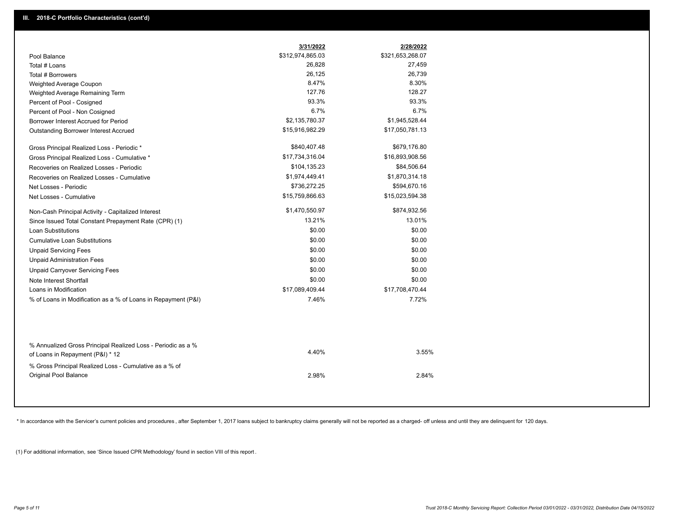|                                                                                                  | 3/31/2022        | 2/28/2022        |
|--------------------------------------------------------------------------------------------------|------------------|------------------|
| Pool Balance                                                                                     | \$312,974,865.03 | \$321,653,268.07 |
| Total # Loans                                                                                    | 26,828           | 27,459           |
| Total # Borrowers                                                                                | 26,125           | 26,739           |
| Weighted Average Coupon                                                                          | 8.47%            | 8.30%            |
| Weighted Average Remaining Term                                                                  | 127.76           | 128.27           |
| Percent of Pool - Cosigned                                                                       | 93.3%            | 93.3%            |
| Percent of Pool - Non Cosigned                                                                   | 6.7%             | 6.7%             |
| Borrower Interest Accrued for Period                                                             | \$2,135,780.37   | \$1,945,528.44   |
| Outstanding Borrower Interest Accrued                                                            | \$15,916,982.29  | \$17,050,781.13  |
| Gross Principal Realized Loss - Periodic *                                                       | \$840,407.48     | \$679,176.80     |
| Gross Principal Realized Loss - Cumulative *                                                     | \$17,734,316.04  | \$16,893,908.56  |
| Recoveries on Realized Losses - Periodic                                                         | \$104,135.23     | \$84,506.64      |
| Recoveries on Realized Losses - Cumulative                                                       | \$1,974,449.41   | \$1,870,314.18   |
| Net Losses - Periodic                                                                            | \$736,272.25     | \$594,670.16     |
| Net Losses - Cumulative                                                                          | \$15,759,866.63  | \$15,023,594.38  |
| Non-Cash Principal Activity - Capitalized Interest                                               | \$1,470,550.97   | \$874,932.56     |
| Since Issued Total Constant Prepayment Rate (CPR) (1)                                            | 13.21%           | 13.01%           |
| <b>Loan Substitutions</b>                                                                        | \$0.00           | \$0.00           |
| <b>Cumulative Loan Substitutions</b>                                                             | \$0.00           | \$0.00           |
| <b>Unpaid Servicing Fees</b>                                                                     | \$0.00           | \$0.00           |
| <b>Unpaid Administration Fees</b>                                                                | \$0.00           | \$0.00           |
| <b>Unpaid Carryover Servicing Fees</b>                                                           | \$0.00           | \$0.00           |
| Note Interest Shortfall                                                                          | \$0.00           | \$0.00           |
| Loans in Modification                                                                            | \$17,089,409.44  | \$17,708,470.44  |
| % of Loans in Modification as a % of Loans in Repayment (P&I)                                    | 7.46%            | 7.72%            |
|                                                                                                  |                  |                  |
| % Annualized Gross Principal Realized Loss - Periodic as a %<br>of Loans in Repayment (P&I) * 12 | 4.40%            | 3.55%            |
| % Gross Principal Realized Loss - Cumulative as a % of<br>Original Pool Balance                  | 2.98%            | 2.84%            |

\* In accordance with the Servicer's current policies and procedures, after September 1, 2017 loans subject to bankruptcy claims generally will not be reported as a charged- off unless and until they are delinquent for 120

(1) For additional information, see 'Since Issued CPR Methodology' found in section VIII of this report .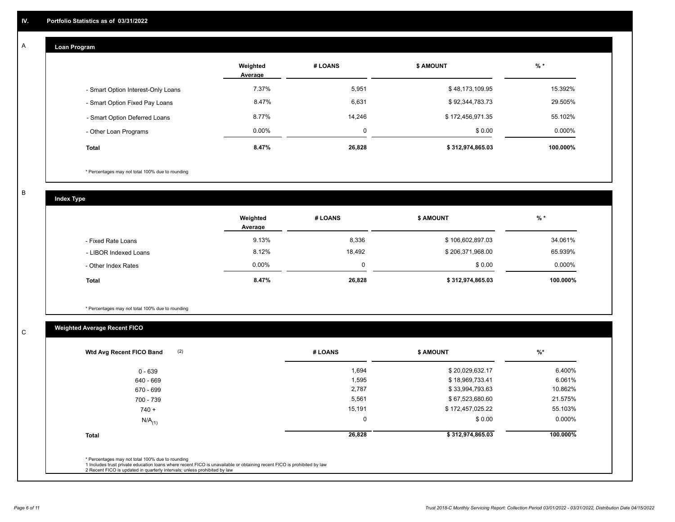#### **Loan Program**  A

|                                    | Weighted<br>Average | # LOANS | <b>\$ AMOUNT</b> | $%$ *    |
|------------------------------------|---------------------|---------|------------------|----------|
| - Smart Option Interest-Only Loans | 7.37%               | 5,951   | \$48,173,109.95  | 15.392%  |
| - Smart Option Fixed Pay Loans     | 8.47%               | 6,631   | \$92,344,783.73  | 29.505%  |
| - Smart Option Deferred Loans      | 8.77%               | 14.246  | \$172,456,971.35 | 55.102%  |
| - Other Loan Programs              | $0.00\%$            |         | \$0.00           | 0.000%   |
| <b>Total</b>                       | 8.47%               | 26,828  | \$312,974,865.03 | 100.000% |

\* Percentages may not total 100% due to rounding

B

C

**Index Type**

|                       | Weighted<br>Average | # LOANS     | <b>\$ AMOUNT</b> | % *      |
|-----------------------|---------------------|-------------|------------------|----------|
| - Fixed Rate Loans    | 9.13%               | 8,336       | \$106,602,897.03 | 34.061%  |
| - LIBOR Indexed Loans | 8.12%               | 18.492      | \$206,371,968.00 | 65.939%  |
| - Other Index Rates   | $0.00\%$            | $\mathbf 0$ | \$0.00           | 0.000%   |
| <b>Total</b>          | 8.47%               | 26,828      | \$312,974,865.03 | 100.000% |

\* Percentages may not total 100% due to rounding

# **Weighted Average Recent FICO**

| (2)<br>Wtd Avg Recent FICO Band | # LOANS     | <b>\$ AMOUNT</b> | $\frac{9}{6}$ * |
|---------------------------------|-------------|------------------|-----------------|
| $0 - 639$                       | 1,694       | \$20,029,632.17  | 6.400%          |
| 640 - 669                       | 1,595       | \$18,969,733.41  | 6.061%          |
| 670 - 699                       | 2,787       | \$33,994,793.63  | 10.862%         |
| 700 - 739                       | 5,561       | \$67,523,680.60  | 21.575%         |
| $740 +$                         | 15,191      | \$172,457,025.22 | 55.103%         |
| $N/A$ <sub>(1)</sub>            | $\mathbf 0$ | \$0.00           | 0.000%          |
| <b>Total</b>                    | 26,828      | \$312,974,865.03 | 100.000%        |
|                                 |             |                  |                 |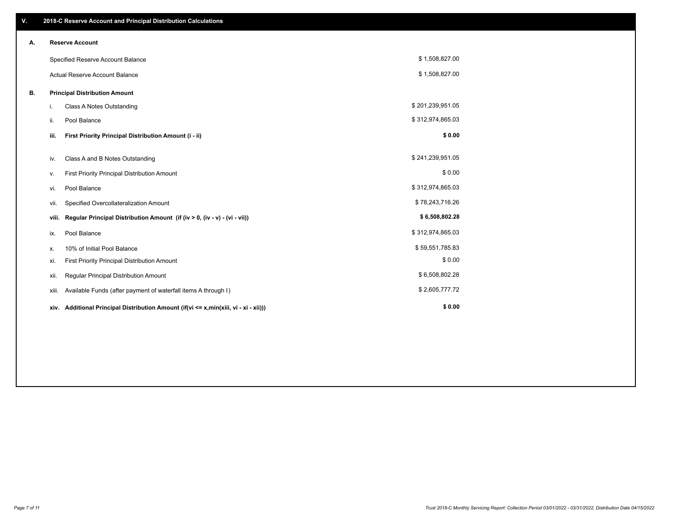| V. |                        | 2018-C Reserve Account and Principal Distribution Calculations                  |                  |  |  |  |  |  |  |
|----|------------------------|---------------------------------------------------------------------------------|------------------|--|--|--|--|--|--|
| А. | <b>Reserve Account</b> |                                                                                 |                  |  |  |  |  |  |  |
|    |                        | Specified Reserve Account Balance                                               | \$1,508,827.00   |  |  |  |  |  |  |
|    |                        | Actual Reserve Account Balance                                                  | \$1,508,827.00   |  |  |  |  |  |  |
| В. |                        | <b>Principal Distribution Amount</b>                                            |                  |  |  |  |  |  |  |
|    | i.                     | <b>Class A Notes Outstanding</b>                                                | \$201,239,951.05 |  |  |  |  |  |  |
|    | ii.                    | Pool Balance                                                                    | \$312,974,865.03 |  |  |  |  |  |  |
|    | iii.                   | First Priority Principal Distribution Amount (i - ii)                           | \$0.00           |  |  |  |  |  |  |
|    | iv.                    |                                                                                 | \$241,239,951.05 |  |  |  |  |  |  |
|    |                        | Class A and B Notes Outstanding                                                 |                  |  |  |  |  |  |  |
|    | v.                     | First Priority Principal Distribution Amount                                    | \$0.00           |  |  |  |  |  |  |
|    | vi.                    | Pool Balance                                                                    | \$312,974,865.03 |  |  |  |  |  |  |
|    | vii.                   | Specified Overcollateralization Amount                                          | \$78,243,716.26  |  |  |  |  |  |  |
|    | viii.                  | Regular Principal Distribution Amount (if (iv > 0, (iv - v) - (vi - vii))       | \$6,508,802.28   |  |  |  |  |  |  |
|    | ix.                    | Pool Balance                                                                    | \$312,974,865.03 |  |  |  |  |  |  |
|    | х.                     | 10% of Initial Pool Balance                                                     | \$59,551,785.83  |  |  |  |  |  |  |
|    | xi.                    | First Priority Principal Distribution Amount                                    | \$0.00           |  |  |  |  |  |  |
|    | xii.                   | Regular Principal Distribution Amount                                           | \$6,508,802.28   |  |  |  |  |  |  |
|    | xiii.                  | Available Funds (after payment of waterfall items A through I)                  | \$2,605,777.72   |  |  |  |  |  |  |
|    | xiv.                   | Additional Principal Distribution Amount (if(vi <= x,min(xiii, vi - xi - xii))) | \$0.00           |  |  |  |  |  |  |
|    |                        |                                                                                 |                  |  |  |  |  |  |  |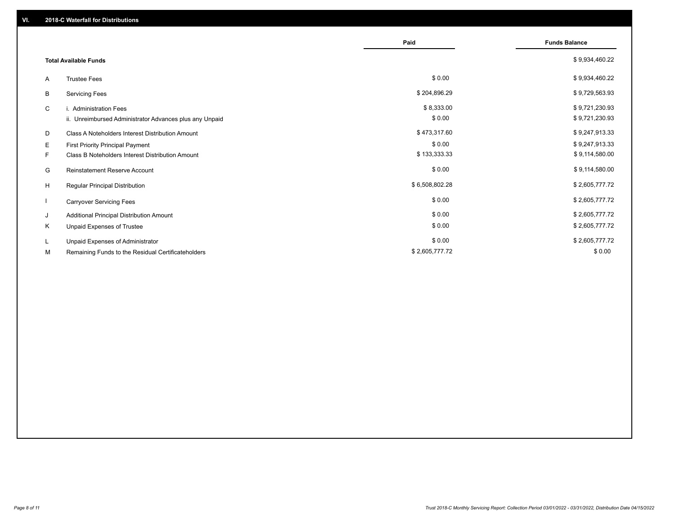|    |                                                                                   | Paid                 | <b>Funds Balance</b>             |
|----|-----------------------------------------------------------------------------------|----------------------|----------------------------------|
|    | <b>Total Available Funds</b>                                                      |                      | \$9,934,460.22                   |
| A  | <b>Trustee Fees</b>                                                               | \$0.00               | \$9,934,460.22                   |
| B  | <b>Servicing Fees</b>                                                             | \$204,896.29         | \$9,729,563.93                   |
| C  | i. Administration Fees<br>ii. Unreimbursed Administrator Advances plus any Unpaid | \$8,333.00<br>\$0.00 | \$9,721,230.93<br>\$9,721,230.93 |
| D  | Class A Noteholders Interest Distribution Amount                                  | \$473,317.60         | \$9,247,913.33                   |
| E  | First Priority Principal Payment                                                  | \$0.00               | \$9,247,913.33                   |
| F. | <b>Class B Noteholders Interest Distribution Amount</b>                           | \$133,333.33         | \$9,114,580.00                   |
| G  | <b>Reinstatement Reserve Account</b>                                              | \$0.00               | \$9,114,580.00                   |
| H  | Regular Principal Distribution                                                    | \$6,508,802.28       | \$2,605,777.72                   |
|    | <b>Carryover Servicing Fees</b>                                                   | \$0.00               | \$2,605,777.72                   |
| J  | Additional Principal Distribution Amount                                          | \$0.00               | \$2,605,777.72                   |
| Κ  | Unpaid Expenses of Trustee                                                        | \$0.00               | \$2,605,777.72                   |
| L. | Unpaid Expenses of Administrator                                                  | \$0.00               | \$2,605,777.72                   |
| М  | Remaining Funds to the Residual Certificateholders                                | \$2,605,777.72       | \$0.00                           |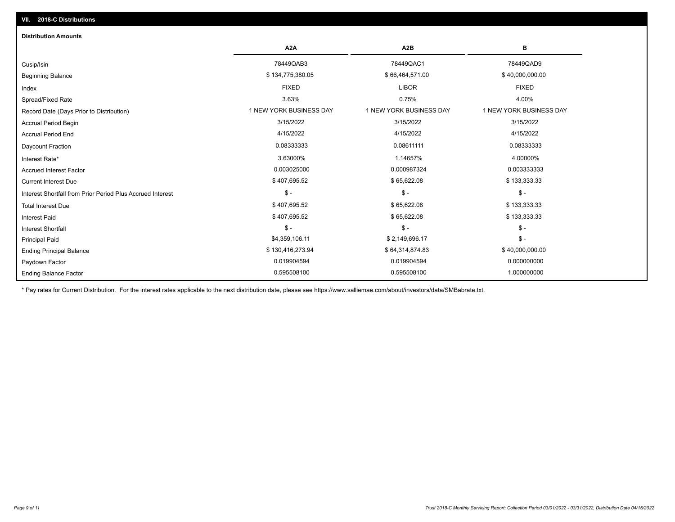| <b>Distribution Amounts</b>                                |                         |                         |                         |
|------------------------------------------------------------|-------------------------|-------------------------|-------------------------|
|                                                            | A <sub>2</sub> A        | A <sub>2</sub> B        | в                       |
| Cusip/Isin                                                 | 78449QAB3               | 78449QAC1               | 78449QAD9               |
| <b>Beginning Balance</b>                                   | \$134,775,380.05        | \$66,464,571.00         | \$40,000,000.00         |
| Index                                                      | <b>FIXED</b>            | <b>LIBOR</b>            | <b>FIXED</b>            |
| Spread/Fixed Rate                                          | 3.63%                   | 0.75%                   | 4.00%                   |
| Record Date (Days Prior to Distribution)                   | 1 NEW YORK BUSINESS DAY | 1 NEW YORK BUSINESS DAY | 1 NEW YORK BUSINESS DAY |
| <b>Accrual Period Begin</b>                                | 3/15/2022               | 3/15/2022               | 3/15/2022               |
| <b>Accrual Period End</b>                                  | 4/15/2022               | 4/15/2022               | 4/15/2022               |
| Daycount Fraction                                          | 0.08333333              | 0.08611111              | 0.08333333              |
| Interest Rate*                                             | 3.63000%                | 1.14657%                | 4.00000%                |
| <b>Accrued Interest Factor</b>                             | 0.003025000             | 0.000987324             | 0.003333333             |
| <b>Current Interest Due</b>                                | \$407,695.52            | \$65,622.08             | \$133,333.33            |
| Interest Shortfall from Prior Period Plus Accrued Interest | $$ -$                   | $\mathsf{\$}$ -         | $\mathsf{\$}$ -         |
| <b>Total Interest Due</b>                                  | \$407,695.52            | \$65,622.08             | \$133,333.33            |
| <b>Interest Paid</b>                                       | \$407,695.52            | \$65,622.08             | \$133,333.33            |
| <b>Interest Shortfall</b>                                  | $$ -$                   | $\mathsf{\$}$ -         | $$ -$                   |
| <b>Principal Paid</b>                                      | \$4,359,106.11          | \$2,149,696.17          | $$ -$                   |
| <b>Ending Principal Balance</b>                            | \$130,416,273.94        | \$64,314,874.83         | \$40,000,000.00         |
| Paydown Factor                                             | 0.019904594             | 0.019904594             | 0.000000000             |
| <b>Ending Balance Factor</b>                               | 0.595508100             | 0.595508100             | 1.000000000             |

\* Pay rates for Current Distribution. For the interest rates applicable to the next distribution date, please see https://www.salliemae.com/about/investors/data/SMBabrate.txt.

**VII. 2018-C Distributions**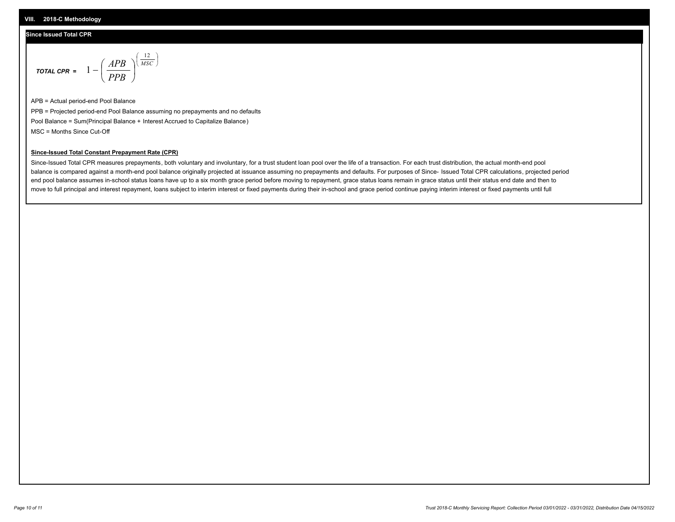## **Since Issued Total CPR**

$$
\text{total cPR} = 1 - \left(\frac{APB}{PPB}\right)^{\left(\frac{12}{MSC}\right)}
$$

APB = Actual period-end Pool Balance PPB = Projected period-end Pool Balance assuming no prepayments and no defaults Pool Balance = Sum(Principal Balance + Interest Accrued to Capitalize Balance) MSC = Months Since Cut-Off

I J Ι

### **Since-Issued Total Constant Prepayment Rate (CPR)**

Since-Issued Total CPR measures prepayments, both voluntary and involuntary, for a trust student loan pool over the life of a transaction. For each trust distribution, the actual month-end pool balance is compared against a month-end pool balance originally projected at issuance assuming no prepayments and defaults. For purposes of Since- Issued Total CPR calculations, projected period end pool balance assumes in-school status loans have up to a six month grace period before moving to repayment, grace status loans remain in grace status until their status end date and then to move to full principal and interest repayment, loans subject to interim interest or fixed payments during their in-school and grace period continue paying interim interest or fixed payments until full